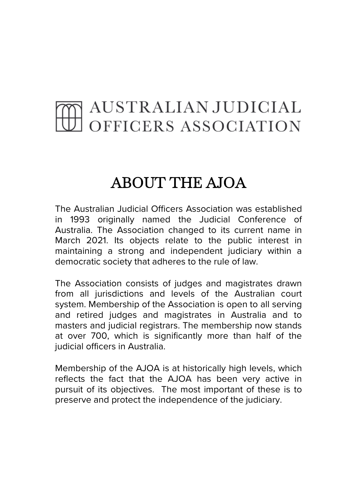## AUSTRALIAN JUDICIAL<br>OFFICERS ASSOCIATION

## ABOUT THE AJOA

The Australian Judicial Officers Association was established in 1993 originally named the Judicial Conference of Australia. The Association changed to its current name in March 2021. Its objects relate to the public interest in maintaining a strong and independent judiciary within a democratic society that adheres to the rule of law.

The Association consists of judges and magistrates drawn from all jurisdictions and levels of the Australian court system. Membership of the Association is open to all serving and retired judges and magistrates in Australia and to masters and judicial registrars. The membership now stands at over 700, which is significantly more than half of the judicial officers in Australia.

Membership of the AJOA is at historically high levels, which reflects the fact that the AJOA has been very active in pursuit of its objectives. The most important of these is to preserve and protect the independence of the judiciary.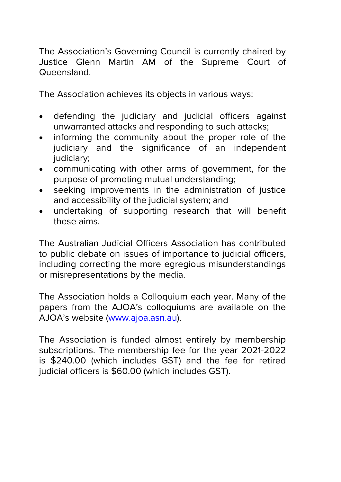The Association's Governing Council is currently chaired by Justice Glenn Martin AM of the Supreme Court of Queensland.

The Association achieves its objects in various ways:

- defending the judiciary and judicial officers against unwarranted attacks and responding to such attacks;
- informing the community about the proper role of the judiciary and the significance of an independent judiciary;
- communicating with other arms of government, for the purpose of promoting mutual understanding;
- seeking improvements in the administration of justice and accessibility of the judicial system; and
- undertaking of supporting research that will benefit these aims.

The Australian Judicial Officers Association has contributed to public debate on issues of importance to judicial officers, including correcting the more egregious misunderstandings or misrepresentations by the media.

The Association holds a Colloquium each year. Many of the papers from the AJOA's colloquiums are available on the AJOA's website [\(www.ajoa.asn.au\)](http://www.ajoa.asn.au/).

The Association is funded almost entirely by membership subscriptions. The membership fee for the year 2021-2022 is \$240.00 (which includes GST) and the fee for retired judicial officers is \$60.00 (which includes GST).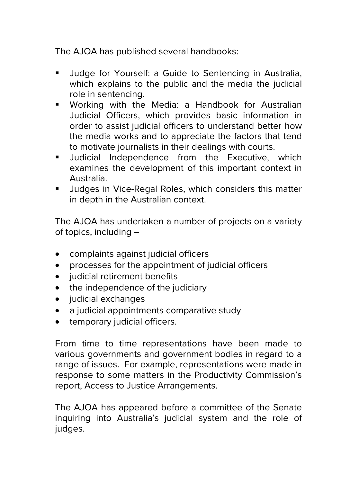The AJOA has published several handbooks:

- **Judge for Yourself: a Guide to Sentencing in Australia,** which explains to the public and the media the judicial role in sentencing.
- [Working with the Media: a](http://www.jca.asn.au/pubs/otherpubs.html) Handbook for Australian [Judicial Officers,](http://www.jca.asn.au/pubs/otherpubs.html) which provides basic information in order to assist judicial officers to understand better how the media works and to appreciate the factors that tend to motivate journalists in their dealings with courts.
- **Judicial Independence from the Executive, which** examines the development of this important context in Australia.
- **Judges in Vice-Regal Roles, which considers this matter** in depth in the Australian context.

The AJOA has undertaken a number of projects on a variety of topics, including –

- complaints against judicial officers
- processes for the appointment of judicial officers
- judicial retirement benefits
- the independence of the judiciary
- judicial exchanges
- a judicial appointments comparative study
- temporary judicial officers.

[From time to time representations](http://www.jca.asn.au/issues.html) have been made to various governments and government bodies in regard to a range of issues. For example, representations were made in response to some matters in the Productivity Commission's report, Access to Justice Arrangements.

The AJOA has appeared before a committee of the Senate inquiring into Australia's judicial system and the role of judges.